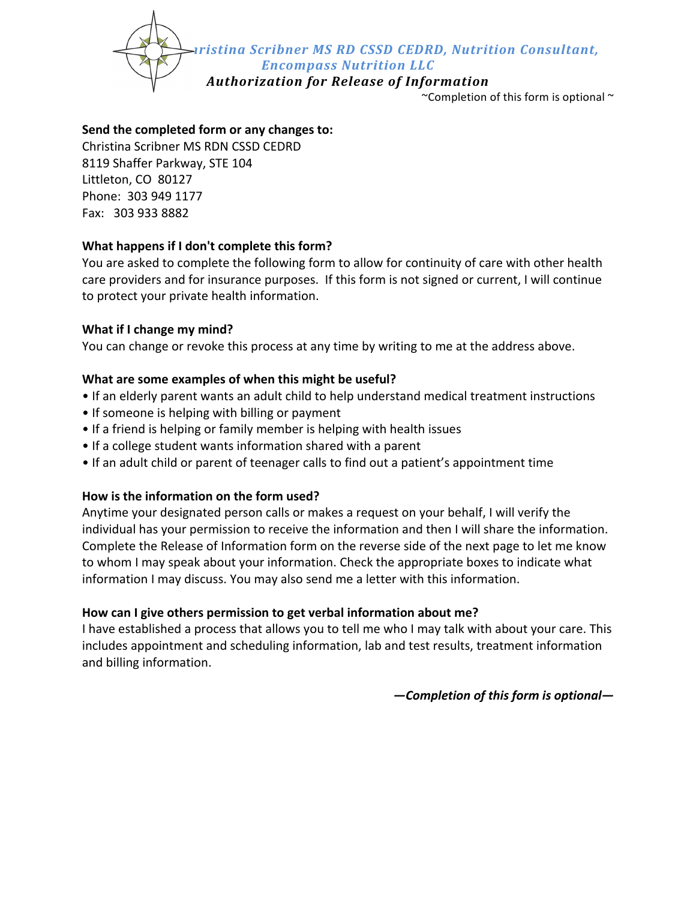*ristina Scribner MS RD CSSD CEDRD, Nutrition Consultant,* 

*Encompass Nutrition LLC*

*Authorization for Release of Information*

~Completion of this form is optional  $\sim$ 

### **Send the completed form or any changes to:**

Christina Scribner MS RDN CSSD CEDRD 8119 Shaffer Parkway, STE 104 Littleton, CO 80127 Phone: 303 949 1177 Fax: 303 933 8882

# **What happens if I don't complete this form?**

You are asked to complete the following form to allow for continuity of care with other health care providers and for insurance purposes. If this form is not signed or current, I will continue to protect your private health information.

#### **What if I change my mind?**

You can change or revoke this process at any time by writing to me at the address above.

### **What are some examples of when this might be useful?**

- If an elderly parent wants an adult child to help understand medical treatment instructions
- If someone is helping with billing or payment
- If a friend is helping or family member is helping with health issues
- If a college student wants information shared with a parent
- If an adult child or parent of teenager calls to find out a patient's appointment time

# How is the information on the form used?

Anytime your designated person calls or makes a request on your behalf, I will verify the individual has your permission to receive the information and then I will share the information. Complete the Release of Information form on the reverse side of the next page to let me know to whom I may speak about your information. Check the appropriate boxes to indicate what information I may discuss. You may also send me a letter with this information.

# How can I give others permission to get verbal information about me?

I have established a process that allows you to tell me who I may talk with about your care. This includes appointment and scheduling information, lab and test results, treatment information and billing information.

*—Completion of this form is optional—*